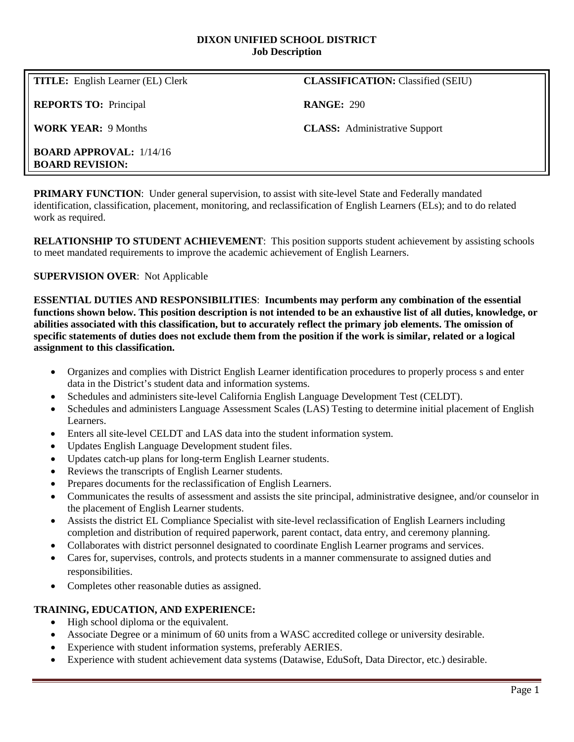#### **DIXON UNIFIED SCHOOL DISTRICT Job Description**

**REPORTS TO:** Principal **RANGE:** 290

**TITLE:** English Learner (EL) Clerk **CLASSIFICATION:** Classified (SEIU)

**WORK YEAR:** 9 Months **CLASS:** Administrative Support

**BOARD APPROVAL:** 1/14/16 **BOARD REVISION:**

**PRIMARY FUNCTION:** Under general supervision, to assist with site-level State and Federally mandated identification, classification, placement, monitoring, and reclassification of English Learners (ELs); and to do related work as required.

**RELATIONSHIP TO STUDENT ACHIEVEMENT**: This position supports student achievement by assisting schools to meet mandated requirements to improve the academic achievement of English Learners.

## **SUPERVISION OVER**: Not Applicable

**ESSENTIAL DUTIES AND RESPONSIBILITIES**: **Incumbents may perform any combination of the essential functions shown below. This position description is not intended to be an exhaustive list of all duties, knowledge, or abilities associated with this classification, but to accurately reflect the primary job elements. The omission of specific statements of duties does not exclude them from the position if the work is similar, related or a logical assignment to this classification.**

- Organizes and complies with District English Learner identification procedures to properly process s and enter data in the District's student data and information systems.
- Schedules and administers site-level California English Language Development Test (CELDT).
- Schedules and administers Language Assessment Scales (LAS) Testing to determine initial placement of English Learners.
- Enters all site-level CELDT and LAS data into the student information system.
- Updates English Language Development student files.
- Updates catch-up plans for long-term English Learner students.
- Reviews the transcripts of English Learner students.
- Prepares documents for the reclassification of English Learners.
- Communicates the results of assessment and assists the site principal, administrative designee, and/or counselor in the placement of English Learner students.
- Assists the district EL Compliance Specialist with site-level reclassification of English Learners including completion and distribution of required paperwork, parent contact, data entry, and ceremony planning.
- Collaborates with district personnel designated to coordinate English Learner programs and services.
- Cares for, supervises, controls, and protects students in a manner commensurate to assigned duties and responsibilities.
- Completes other reasonable duties as assigned.

### **TRAINING, EDUCATION, AND EXPERIENCE:**

- High school diploma or the equivalent.
- Associate Degree or a minimum of 60 units from a WASC accredited college or university desirable.
- Experience with student information systems, preferably AERIES.
- Experience with student achievement data systems (Datawise, EduSoft, Data Director, etc.) desirable.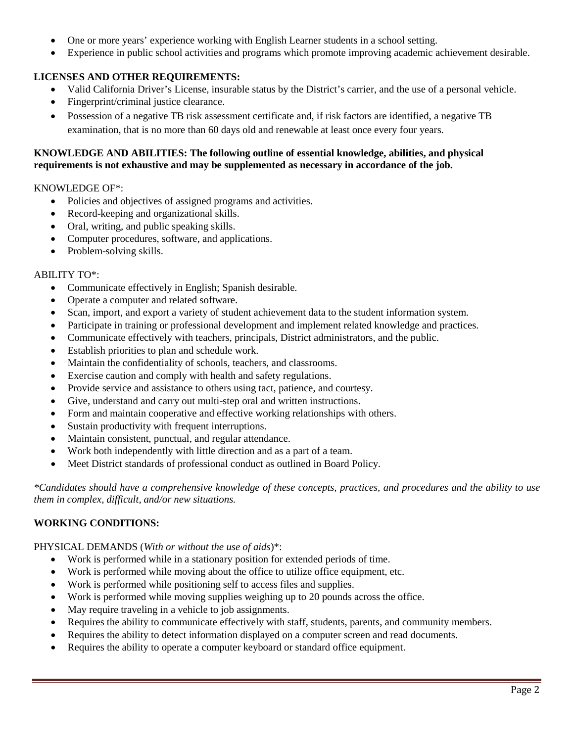- One or more years' experience working with English Learner students in a school setting.
- Experience in public school activities and programs which promote improving academic achievement desirable.

## **LICENSES AND OTHER REQUIREMENTS:**

- Valid California Driver's License, insurable status by the District's carrier, and the use of a personal vehicle.
- Fingerprint/criminal justice clearance.
- Possession of a negative TB risk assessment certificate and, if risk factors are identified, a negative TB examination, that is no more than 60 days old and renewable at least once every four years.

### **KNOWLEDGE AND ABILITIES: The following outline of essential knowledge, abilities, and physical requirements is not exhaustive and may be supplemented as necessary in accordance of the job.**

### KNOWLEDGE OF\*:

- Policies and objectives of assigned programs and activities.
- Record-keeping and organizational skills.
- Oral, writing, and public speaking skills.
- Computer procedures, software, and applications.
- Problem-solving skills.

### ABILITY TO\*:

- Communicate effectively in English; Spanish desirable.
- Operate a computer and related software.
- Scan, import, and export a variety of student achievement data to the student information system.
- Participate in training or professional development and implement related knowledge and practices.
- Communicate effectively with teachers, principals, District administrators, and the public.
- Establish priorities to plan and schedule work.
- Maintain the confidentiality of schools, teachers, and classrooms.
- Exercise caution and comply with health and safety regulations.
- Provide service and assistance to others using tact, patience, and courtesy.
- Give, understand and carry out multi-step oral and written instructions.
- Form and maintain cooperative and effective working relationships with others.
- Sustain productivity with frequent interruptions.
- Maintain consistent, punctual, and regular attendance.
- Work both independently with little direction and as a part of a team.
- Meet District standards of professional conduct as outlined in Board Policy.

*\*Candidates should have a comprehensive knowledge of these concepts, practices, and procedures and the ability to use them in complex, difficult, and/or new situations.* 

# **WORKING CONDITIONS:**

### PHYSICAL DEMANDS (*With or without the use of aids*)\*:

- Work is performed while in a stationary position for extended periods of time.
- Work is performed while moving about the office to utilize office equipment, etc.
- Work is performed while positioning self to access files and supplies.
- Work is performed while moving supplies weighing up to 20 pounds across the office.
- May require traveling in a vehicle to job assignments.
- Requires the ability to communicate effectively with staff, students, parents, and community members.
- Requires the ability to detect information displayed on a computer screen and read documents.
- Requires the ability to operate a computer keyboard or standard office equipment.